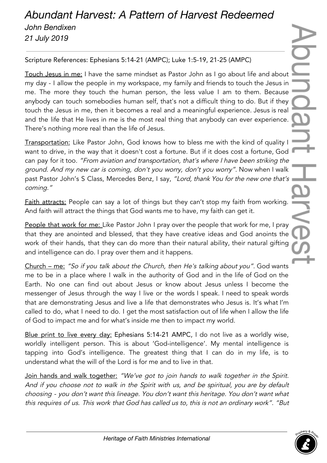## *Abundant Harvest: A Pattern of Harvest Redeemed*

*John Bendixen 21 July 2019*

Scripture References: Ephesians 5:14-21 (AMPC); Luke 1:5-19, 21-25 (AMPC)

Touch Jesus in me: I have the same mindset as Pastor John as I go about life and about my day - I allow the people in my workspace, my family and friends to touch the Jesus in me. The more they touch the human person, the less value I am to them. Because anybody can touch somebodies human self, that's not a difficult thing to do. But if they touch the Jesus in me, then it becomes a real and a meaningful experience. Jesus is real and the life that He lives in me is the most real thing that anybody can ever experience. There's nothing more real than the life of Jesus.

Transportation: Like Pastor John, God knows how to bless me with the kind of quality I want to drive, in the way that it doesn't cost a fortune. But if it does cost a fortune, God can pay for it too. "From aviation and transportation, that's where <sup>I</sup> have been striking the ground. And my new car is coming, don't you worry, don't you worry". Now when I walk past Pastor John's S Class, Mercedes Benz, I say, "Lord, thank You for the new one that's coming."

Faith attracts: People can say a lot of things but they can't stop my faith from working. And faith will attract the things that God wants me to have, my faith can get it.

People that work for me: Like Pastor John I pray over the people that work for me, I pray that they are anointed and blessed, that they have creative ideas and God anoints the work of their hands, that they can do more than their natural ability, their natural gifting and intelligence can do. I pray over them and it happens.

Church – me: "So if you talk about the Church, then He's talking about you". God wants me to be in a place where I walk in the authority of God and in the life of God on the Earth. No one can find out about Jesus or know about Jesus unless I become the messenger of Jesus through the way I live or the words I speak. I need to speak words that are demonstrating Jesus and live a life that demonstrates who Jesus is. It's what I'm called to do, what I need to do. I get the most satisfaction out of life when I allow the life of God to impact me and for what's inside me then to impact my world.

Blue print to live every day: Ephesians 5:14-21 AMPC, I do not live as a worldly wise, worldly intelligent person. This is about 'God-intelligence'. My mental intelligence is tapping into God's intelligence. The greatest thing that I can do in my life, is to understand what the will of the Lord is for me and to live in that.

Join hands and walk together: "We've got to join hands to walk together in the Spirit. And if you choose not to walk in the Spirit with us, and be spiritual, you are by default choosing - you don't want this lineage. You don't want this heritage. You don't want what this requires of us. This work that God has called us to, this is not an ordinary work". "But

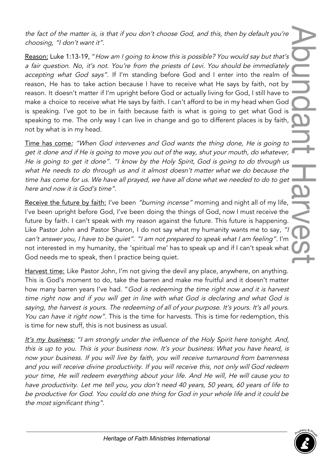the fact of the matter is, is that if you don't choose God, and this, then by default you're choosing, "I don't want it".

Reason: Luke 1:13-19, "How am I going to know this is possible? You would say but that's <sup>a</sup> fair question. No, it's not. You're from the priests of Levi. You should be immediately accepting what God says". If I'm standing before God and I enter into the realm of reason, He has to take action because I have to receive what He says by faith, not by reason. It doesn't matter if I'm upright before God or actually living for God, I still have to make a choice to receive what He says by faith. I can't afford to be in my head when God is speaking. I've got to be in faith because faith is what is going to get what God is speaking to me. The only way I can live in change and go to different places is by faith, not by what is in my head.

Time has come: "When God intervenes and God wants the thing done, He is going to get it done and if He is going to move you out of the way, shut your mouth, do whatever, He is going to get it done". "I know by the Holy Spirit, God is going to do through us what He needs to do through us and it almost doesn't matter what we do because the time has come for us. We have all prayed, we have all done what we needed to do to get here and now it is God's time".

Receive the future by faith: I've been "burning incense" morning and night all of my life, I've been upright before God, I've been doing the things of God, now I must receive the future by faith. I can't speak with my reason against the future. This future is happening. Like Pastor John and Pastor Sharon, I do not say what my humanity wants me to say, "I can't answer you, <sup>I</sup> have to be quiet". "I am not prepared to speak what <sup>I</sup> am feeling". I'm not interested in my humanity, the 'spiritual me' has to speak up and if I can't speak what God needs me to speak, then I practice being quiet.

Harvest time: Like Pastor John, I'm not giving the devil any place, anywhere, on anything. This is God's moment to do, take the barren and make me fruitful and it doesn't matter how many barren years I've had. "God is redeeming the time right now and it is harvest time right now and if you will get in line with what God is declaring and what God is saying, the harvest is yours. The redeeming of all of your purpose. It's yours. It's all yours. You can have it right now". This is the time for harvests. This is time for redemption, this is time for new stuff, this is not business as usual.

It's my business: "I am strongly under the influence of the Holy Spirit here tonight. And, this is up to you. This is your business now. It's your business: What you have heard, is now your business. If you will live by faith, you will receive turnaround from barrenness and you will receive divine productivity. If you will receive this, not only will God redeem your time, He will redeem everything about your life. And He will, He will cause you to have productivity. Let me tell you, you don't need <sup>40</sup> years, <sup>50</sup> years, <sup>60</sup> years of life to be productive for God. You could do one thing for God in your whole life and it could be the most significant thing".